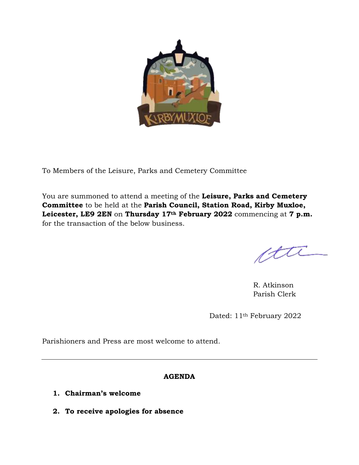

To Members of the Leisure, Parks and Cemetery Committee

You are summoned to attend a meeting of the **Leisure, Parks and Cemetery Committee** to be held at the **Parish Council, Station Road, Kirby Muxloe, Leicester, LE9 2EN** on **Thursday 17th February 2022** commencing at **7 p.m.**  for the transaction of the below business.

ftt

R. Atkinson Parish Clerk

Dated: 11th February 2022

Parishioners and Press are most welcome to attend.

### **AGENDA**

- **1. Chairman's welcome**
- **2. To receive apologies for absence**